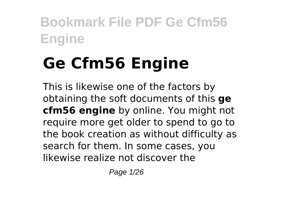# **Ge Cfm56 Engine**

This is likewise one of the factors by obtaining the soft documents of this **ge cfm56 engine** by online. You might not require more get older to spend to go to the book creation as without difficulty as search for them. In some cases, you likewise realize not discover the

Page 1/26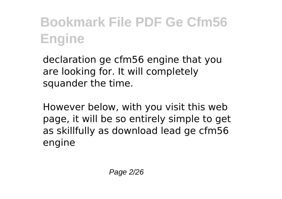declaration ge cfm56 engine that you are looking for. It will completely squander the time.

However below, with you visit this web page, it will be so entirely simple to get as skillfully as download lead ge cfm56 engine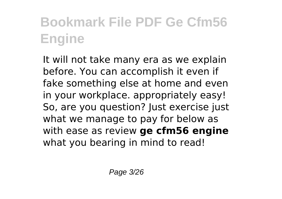It will not take many era as we explain before. You can accomplish it even if fake something else at home and even in your workplace. appropriately easy! So, are you question? Just exercise just what we manage to pay for below as with ease as review **ge cfm56 engine** what you bearing in mind to read!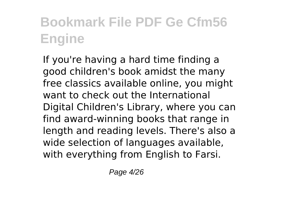If you're having a hard time finding a good children's book amidst the many free classics available online, you might want to check out the International Digital Children's Library, where you can find award-winning books that range in length and reading levels. There's also a wide selection of languages available, with everything from English to Farsi.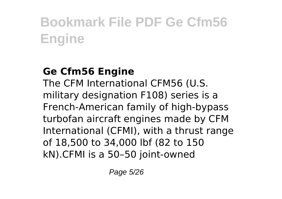#### **Ge Cfm56 Engine**

The CFM International CFM56 (U.S. military designation F108) series is a French-American family of high-bypass turbofan aircraft engines made by CFM International (CFMI), with a thrust range of 18,500 to 34,000 lbf (82 to 150 kN).CFMI is a 50–50 joint-owned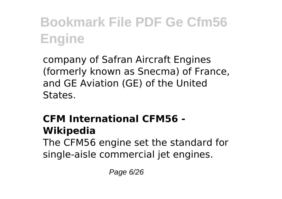company of Safran Aircraft Engines (formerly known as Snecma) of France, and GE Aviation (GE) of the United States.

#### **CFM International CFM56 - Wikipedia**

The CFM56 engine set the standard for single-aisle commercial jet engines.

Page 6/26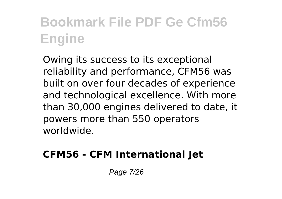Owing its success to its exceptional reliability and performance, CFM56 was built on over four decades of experience and technological excellence. With more than 30,000 engines delivered to date, it powers more than 550 operators worldwide.

#### **CFM56 - CFM International Jet**

Page 7/26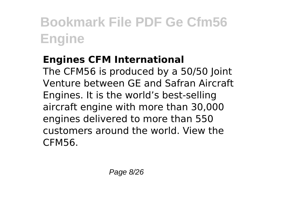#### **Engines CFM International**

The CFM56 is produced by a 50/50 Joint Venture between GE and Safran Aircraft Engines. It is the world's best-selling aircraft engine with more than 30,000 engines delivered to more than 550 customers around the world. View the CFM56.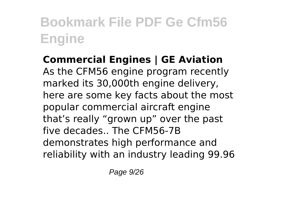**Commercial Engines | GE Aviation** As the CFM56 engine program recently marked its 30,000th engine delivery, here are some key facts about the most popular commercial aircraft engine that's really "grown up" over the past five decades.. The CFM56-7B demonstrates high performance and reliability with an industry leading 99.96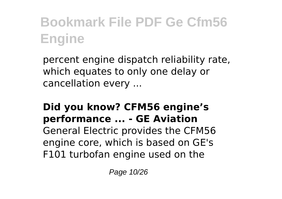percent engine dispatch reliability rate, which equates to only one delay or cancellation every ...

#### **Did you know? CFM56 engine's performance ... - GE Aviation**

General Electric provides the CFM56 engine core, which is based on GE's F101 turbofan engine used on the

Page 10/26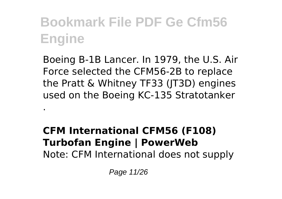Boeing B-1B Lancer. In 1979, the U.S. Air Force selected the CFM56-2B to replace the Pratt & Whitney TF33 (JT3D) engines used on the Boeing KC-135 Stratotanker

#### **CFM International CFM56 (F108) Turbofan Engine | PowerWeb** Note: CFM International does not supply

Page 11/26

.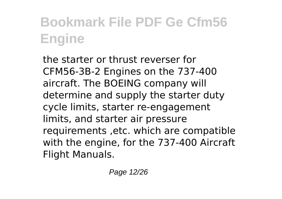the starter or thrust reverser for CFM56-3B-2 Engines on the 737-400 aircraft. The BOEING company will determine and supply the starter duty cycle limits, starter re-engagement limits, and starter air pressure requirements ,etc. which are compatible with the engine, for the 737-400 Aircraft Flight Manuals.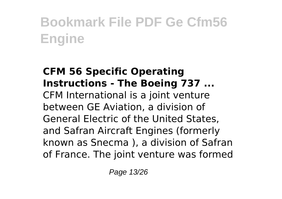#### **CFM 56 Specific Operating Instructions - The Boeing 737 ...** CFM International is a joint venture between GE Aviation, a division of General Electric of the United States, and Safran Aircraft Engines (formerly known as Snecma ), a division of Safran of France. The joint venture was formed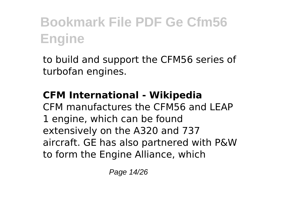to build and support the CFM56 series of turbofan engines.

#### **CFM International - Wikipedia**

CFM manufactures the CFM56 and LEAP 1 engine, which can be found extensively on the A320 and 737 aircraft. GE has also partnered with P&W to form the Engine Alliance, which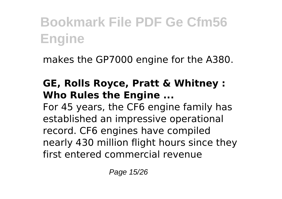makes the GP7000 engine for the A380.

#### **GE, Rolls Royce, Pratt & Whitney : Who Rules the Engine ...**

For 45 years, the CF6 engine family has established an impressive operational record. CF6 engines have compiled nearly 430 million flight hours since they first entered commercial revenue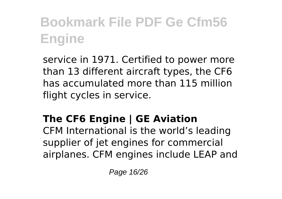service in 1971. Certified to power more than 13 different aircraft types, the CF6 has accumulated more than 115 million flight cycles in service.

### **The CF6 Engine | GE Aviation**

CFM International is the world's leading supplier of jet engines for commercial airplanes. CFM engines include LEAP and

Page 16/26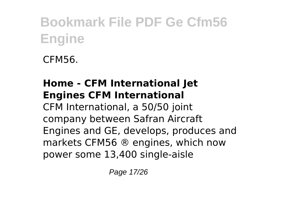CFM56.

#### **Home - CFM International Jet Engines CFM International**

CFM International, a 50/50 joint company between Safran Aircraft Engines and GE, develops, produces and markets CFM56 ® engines, which now power some 13,400 single-aisle

Page 17/26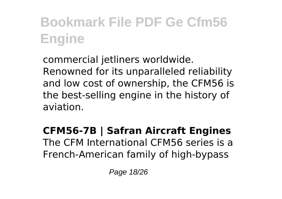commercial jetliners worldwide. Renowned for its unparalleled reliability and low cost of ownership, the CFM56 is the best-selling engine in the history of aviation.

**CFM56-7B | Safran Aircraft Engines** The CFM International CFM56 series is a French-American family of high-bypass

Page 18/26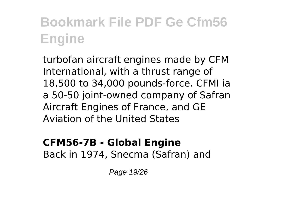turbofan aircraft engines made by CFM International, with a thrust range of 18,500 to 34,000 pounds-force. CFMI ia a 50-50 joint-owned company of Safran Aircraft Engines of France, and GE Aviation of the United States

#### **CFM56-7B - Global Engine** Back in 1974, Snecma (Safran) and

Page 19/26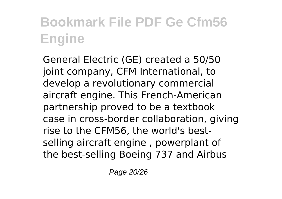General Electric (GE) created a 50/50 joint company, CFM International, to develop a revolutionary commercial aircraft engine. This French-American partnership proved to be a textbook case in cross-border collaboration, giving rise to the CFM56, the world's bestselling aircraft engine , powerplant of the best-selling Boeing 737 and Airbus

Page 20/26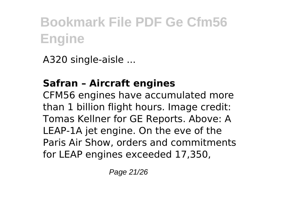A320 single-aisle ...

### **Safran – Aircraft engines**

CFM56 engines have accumulated more than 1 billion flight hours. Image credit: Tomas Kellner for GE Reports. Above: A LEAP-1A jet engine. On the eve of the Paris Air Show, orders and commitments for LEAP engines exceeded 17,350,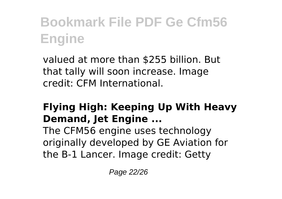valued at more than \$255 billion. But that tally will soon increase. Image credit: CFM International.

#### **Flying High: Keeping Up With Heavy Demand, Jet Engine ...**

The CFM56 engine uses technology originally developed by GE Aviation for the B-1 Lancer. Image credit: Getty

Page 22/26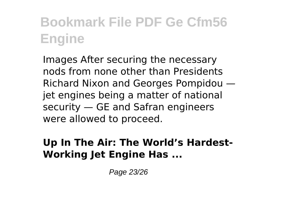Images After securing the necessary nods from none other than Presidents Richard Nixon and Georges Pompidou jet engines being a matter of national security — GE and Safran engineers were allowed to proceed.

#### **Up In The Air: The World's Hardest-Working Jet Engine Has ...**

Page 23/26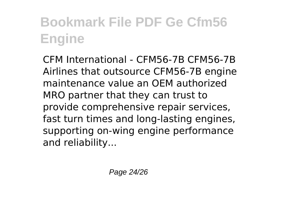CFM International - CFM56-7B CFM56-7B Airlines that outsource CFM56-7B engine maintenance value an OEM authorized MRO partner that they can trust to provide comprehensive repair services, fast turn times and long-lasting engines, supporting on-wing engine performance and reliability...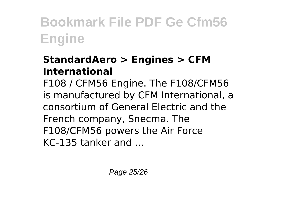#### **StandardAero > Engines > CFM International**

F108 / CFM56 Engine. The F108/CFM56 is manufactured by CFM International, a consortium of General Electric and the French company, Snecma. The F108/CFM56 powers the Air Force KC-135 tanker and